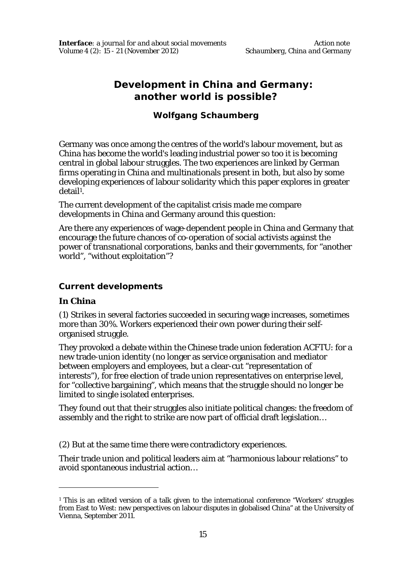# **Development in China and Germany: another world is possible?**

## **Wolfgang Schaumberg**

Germany was once among the centres of the world's labour movement, but as China has become the world's leading industrial power so too it is becoming central in global labour struggles. The two experiences are linked by German firms operating in China and multinationals present in both, but also by some developing experiences of labour solidarity which this paper explores in greater detail<sup>1</sup>.

The current development of the capitalist crisis made me compare developments in China and Germany around this question:

Are there any experiences of wage-dependent people in China and Germany that encourage the future chances of co-operation of social activists against the power of transnational corporations, banks and their governments, for "another world", "without exploitation"?

#### **Current developments**

#### **In China**

 $\overline{a}$ 

(1) Strikes in several factories succeeded in securing wage increases, sometimes more than 30%. Workers experienced their own power during their selforganised struggle.

They provoked a debate within the Chinese trade union federation ACFTU: for a new trade-union identity (no longer as service organisation and mediator between employers and employees, but a clear-cut "representation of interests"), for free election of trade union representatives on enterprise level, for "collective bargaining", which means that the struggle should no longer be limited to single isolated enterprises.

They found out that their struggles also initiate political changes: the freedom of assembly and the right to strike are now part of official draft legislation…

(2) *But* at the same time there were contradictory experiences.

Their trade union and political leaders aim at "harmonious labour relations" to avoid spontaneous industrial action…

<sup>&</sup>lt;sup>1</sup> This is an edited version of a talk given to the international conference "Workers' struggles from East to West: new perspectives on labour disputes in globalised China" at the University of Vienna, September 2011.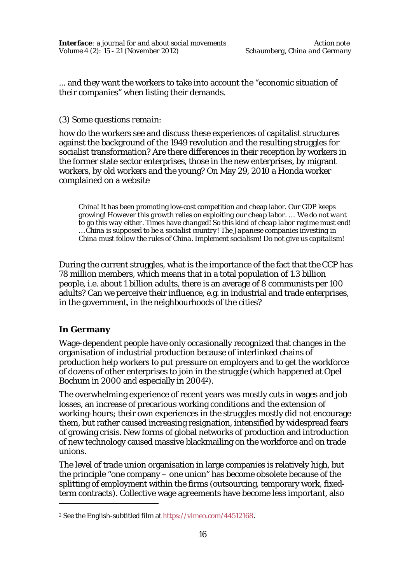... and they want the workers to take into account the "economic situation of their companies" when listing their demands.

#### (3) Some questions *remain*:

how do the workers see and discuss these experiences of capitalist structures against the background of the 1949 revolution and the resulting struggles for socialist transformation? Are there differences in their reception by workers in the former state sector enterprises, those in the new enterprises, by migrant workers, by old workers and the young? On May 29, 2010 a Honda worker complained on a website

China! It has been promoting low-cost competition and cheap labor. Our GDP keeps growing! *However this growth relies on exploiting our cheap labor. … We do not want to go this way either. Times have changed! So this kind of cheap labor regime must end! … China is supposed to be a socialist country! The Japanese companies investing in China must follow the rules of China. Implement socialism! Do not give us capitalism!*

During the current struggles, what is the importance of the fact that the CCP has 78 million members, which means that in a total population of 1.3 billion people, i.e. about 1 billion adults, there is an average of 8 communists per 100 adults? Can we perceive their influence, e.g. in industrial and trade enterprises, in the government, in the neighbourhoods of the cities?

#### **In Germany**

 $\overline{a}$ 

Wage-dependent people have only occasionally recognized that changes in the organisation of industrial production because of interlinked chains of production help workers to put pressure on employers and to get the workforce of dozens of other enterprises to join in the struggle (which happened at Opel Bochum in 2000 and especially in 20042).

The overwhelming experience of recent years was mostly cuts in wages and job losses, an increase of precarious working conditions and the extension of working-hours; their own experiences in the struggles mostly did not encourage them, but rather caused increasing resignation, intensified by widespread fears of growing crisis. New forms of global networks of production and introduction of new technology caused massive blackmailing on the workforce and on trade unions.

The level of trade union organisation in large companies is relatively high, but the principle "one company – one union" has become obsolete because of the splitting of employment within the firms (outsourcing, temporary work, fixedterm contracts). Collective wage agreements have become less important, also

<sup>&</sup>lt;sup>2</sup> See the English-subtitled film at https://vimeo.com/44512168.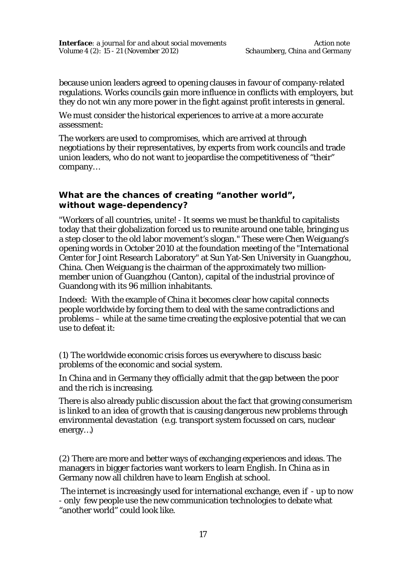because union leaders agreed to opening clauses in favour of company-related regulations. Works councils gain more influence in conflicts with employers, but they do not win any more power in the fight against profit interests in general.

We must consider the historical experiences to arrive at a more accurate assessment:

The workers are used to compromises, which are arrived at through negotiations by their representatives, by experts from work councils and trade union leaders, who do not want to jeopardise the competitiveness of "their" company…

#### **What are the chances of creating "another world", without wage-dependency?**

"Workers of all countries, unite! - It seems we must be thankful to capitalists today that their globalization forced us to reunite around one table, bringing us a step closer to the old labor movement's slogan." These were Chen Weiguang's opening words in October 2010 at the foundation meeting of the "International Center for Joint Research Laboratory" at Sun Yat-Sen University in Guangzhou, China. Chen Weiguang is the chairman of the approximately two millionmember union of Guangzhou (Canton), capital of the industrial province of Guandong with its 96 million inhabitants.

Indeed: With the example of China it becomes clear how capital connects people worldwide by forcing them to deal with the same contradictions and problems – while at the same time creating the explosive potential that we can use to defeat it:

(1) The worldwide economic crisis forces us everywhere to discuss basic problems of the economic and social system.

In China and in Germany they officially admit that the gap between the poor and the rich is increasing.

There is also already public discussion about the fact that growing consumerism is linked to *an idea of growth* that is causing dangerous new problems through environmental devastation (e.g. transport system focussed on cars, nuclear energy…)

(2) There are more and better ways of exchanging experiences and ideas. The managers in bigger factories want workers to learn English. In China as in Germany now all children have to learn English at school.

The internet is increasingly used for international exchange, even if - up to now - only few people use the new communication technologies to debate what "another world" could look like.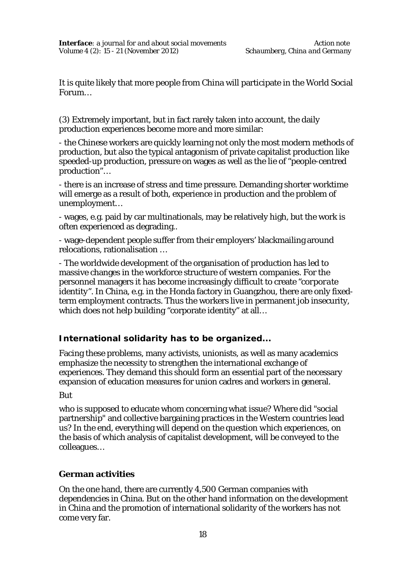It is quite likely that more people from China will participate in the World Social Forum…

(3) Extremely important, but in fact rarely taken into account, the daily production experiences become more and more similar:

- the Chinese workers are quickly learning not only the most modern methods of production, but also the typical antagonism of private capitalist production like speeded-up production, pressure on wages as well as the lie of "people-centred production"…

- there is an increase of stress and time pressure. Demanding shorter worktime will emerge as a result of both, experience in production and the problem of unemployment…

- wages, e.g. paid by car multinationals, may be relatively high, but the work is often experienced as degrading..

- wage-dependent people suffer from their employers' blackmailing around relocations, rationalisation …

- The worldwide development of the organisation of production has led to massive changes in the workforce structure of western companies. For the personnel managers it has become increasingly difficult to create *"corporate identity".* In China, e.g. in the Honda factory in Guangzhou, there are only fixedterm employment contracts. Thus the workers live in permanent job insecurity, which does not help building "corporate identity" at all…

### **International solidarity has to be organized...**

Facing these problems, many activists, unionists, as well as many academics emphasize the necessity to strengthen the international exchange of experiences. They demand this should form an essential part of the necessary expansion of education measures for union cadres and workers in general.

#### *But*

who is supposed to educate whom concerning what issue? Where did "social partnership" and collective bargaining practices in the Western countries lead us? In the end, everything will depend on the question *which* experiences, on the basis of *which* analysis of capitalist development, will be conveyed to the colleagues…

#### **German activities**

On the one hand, there are currently 4,500 German companies with dependencies in China. But on the other hand information on the development in China and the promotion of international solidarity of the workers has not come very far.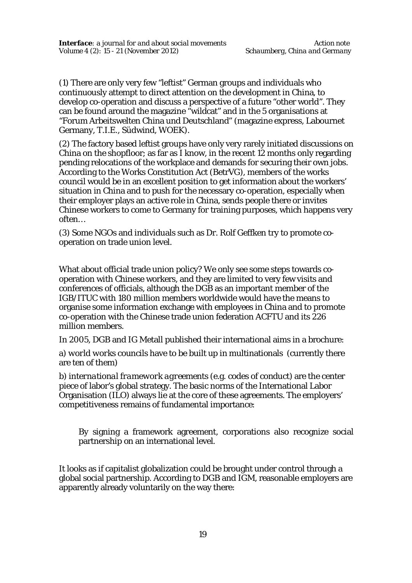(1) There are only very few "leftist" German groups and individuals who continuously attempt to direct attention on the development in China, to develop co-operation and discuss a perspective of a future "other world". They can be found around the magazine "wildcat" and in the 5 organisations at "Forum Arbeitswelten China und Deutschland" (magazine express, Labournet Germany, T.I.E., Südwind, WOEK).

(2) The factory based leftist groups have only very rarely initiated discussions on China on the shopfloor; as far as I know, in the recent 12 months only regarding pending relocations of the workplace and demands for securing their own jobs. According to the Works Constitution Act (BetrVG), members of the works council would be in an excellent position to get information about the workers' situation in China and to push for the necessary co-operation, especially when their employer plays an active role in China, sends people there or invites Chinese workers to come to Germany for training purposes, which happens very often…

(3) Some NGOs and individuals such as Dr. Rolf Geffken try to promote cooperation on trade union level.

What about official trade union policy? We only see some steps towards cooperation with Chinese workers, and they are limited to very few visits and conferences of officials, although the DGB as an important member of the IGB/ITUC with 180 million members worldwide would have the means to organise some information exchange with employees in China and to promote co-operation with the Chinese trade union federation ACFTU and its 226 million members.

In 2005, DGB and IG Metall published their international aims in a brochure:

a) *world works councils* have to be built up in multinationals (currently there are ten of them)

b) *international framework agreements* (e.g. codes of conduct) are the center piece of labor's global strategy. The basic norms of the International Labor Organisation (ILO) always lie at the core of these agreements. The employers' competitiveness remains of fundamental importance:

By signing a framework agreement, corporations also recognize social partnership on an international level.

It looks as if capitalist globalization could be brought under control through a global social partnership. According to DGB and IGM, reasonable employers are apparently already voluntarily on the way there: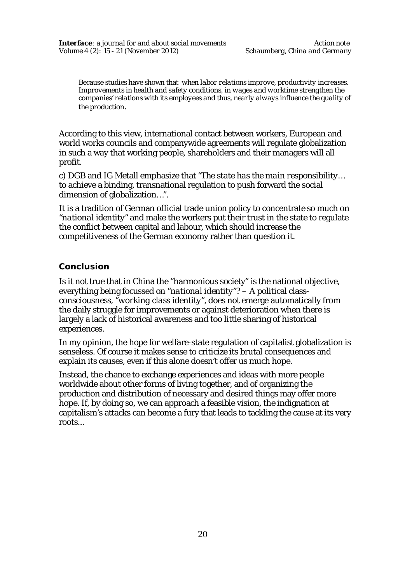Because studies have shown that *when labor relations improve, productivity increases. Improvements in health and safety conditions, in wages and worktime strengthen the companies' relations with its employees and thus, nearly always influence the quality of the production.*

According to this view, international contact between workers, European and world works councils and companywide agreements will regulate globalization in such a way that working people, shareholders and their managers will all profit.

c) DGB and IG Metall emphasize that *"The state has the main responsibility…* to achieve a binding, transnational regulation to push forward the social dimension of globalization…".

It is a tradition of German official trade union policy to concentrate so much on *"national identity"* and make the workers put their trust in the state to regulate the conflict between capital and labour, which should increase the competitiveness of the German economy rather than question it.

### **Conclusion**

Is it not true that in China the "harmonious society" is the national objective, everything being focussed on *"national identity"?* – A political classconsciousness, *"working class identity",* does not emerge automatically from the daily struggle for improvements or against deterioration when there is largely a lack of historical awareness and too little sharing of historical experiences.

In my opinion, the hope for welfare-state regulation of capitalist globalization is senseless. Of course it makes sense to criticize its brutal consequences and explain its causes, even if this alone doesn't offer us much hope.

Instead, the chance to exchange experiences and ideas with more people worldwide about other forms of living together, and of organizing the production and distribution of necessary and desired things may offer more hope. If, by doing so, we can approach a feasible vision, the indignation at capitalism's attacks can become a fury that leads to tackling the cause at its very roots...